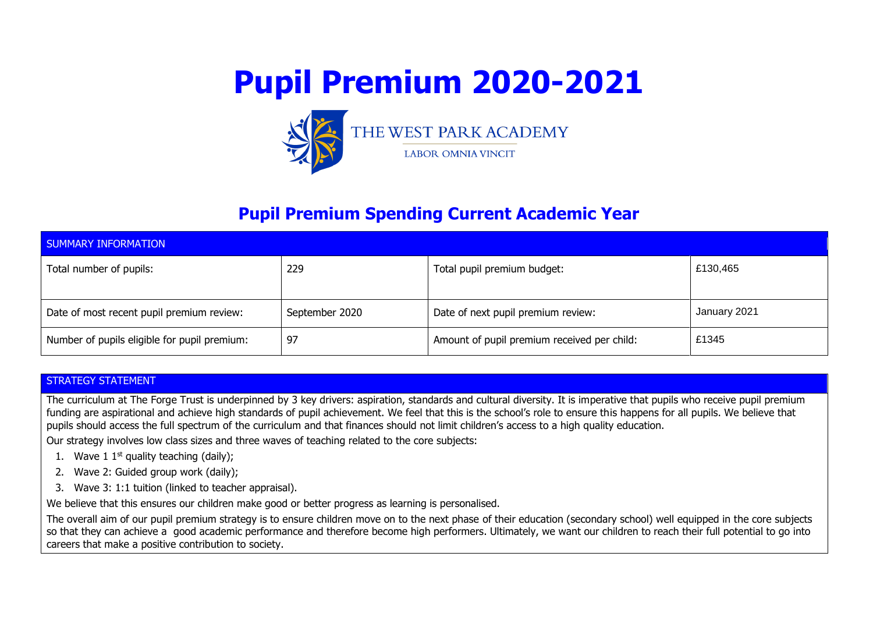



**LABOR OMNIA VINCIT** 

### **Pupil Premium Spending Current Academic Year**

| SUMMARY INFORMATION                          |                |                                             |              |  |  |  |  |
|----------------------------------------------|----------------|---------------------------------------------|--------------|--|--|--|--|
| Total number of pupils:                      | 229            | Total pupil premium budget:                 | £130,465     |  |  |  |  |
| Date of most recent pupil premium review:    | September 2020 | Date of next pupil premium review:          | January 2021 |  |  |  |  |
| Number of pupils eligible for pupil premium: | 97             | Amount of pupil premium received per child: | £1345        |  |  |  |  |

#### STRATEGY STATEMENT

The curriculum at The Forge Trust is underpinned by 3 key drivers: aspiration, standards and cultural diversity. It is imperative that pupils who receive pupil premium funding are aspirational and achieve high standards of pupil achievement. We feel that this is the school's role to ensure this happens for all pupils. We believe that pupils should access the full spectrum of the curriculum and that finances should not limit children's access to a high quality education.

Our strategy involves low class sizes and three waves of teaching related to the core subjects:

- 1. Wave 1  $1<sup>st</sup>$  quality teaching (daily);
- 2. Wave 2: Guided group work (daily);
- 3. Wave 3: 1:1 tuition (linked to teacher appraisal).

We believe that this ensures our children make good or better progress as learning is personalised.

The overall aim of our pupil premium strategy is to ensure children move on to the next phase of their education (secondary school) well equipped in the core subjects so that they can achieve a good academic performance and therefore become high performers. Ultimately, we want our children to reach their full potential to go into careers that make a positive contribution to society.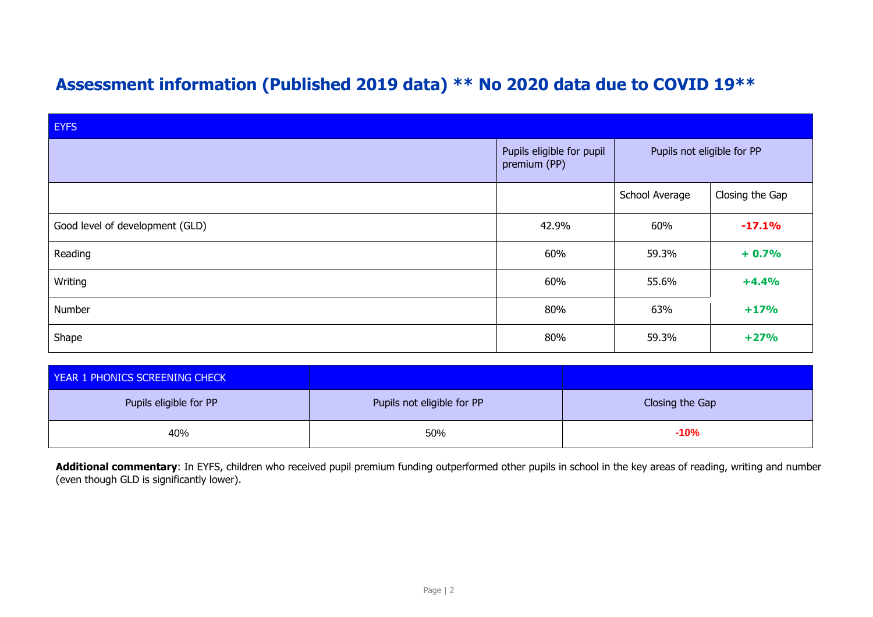## **Assessment information (Published 2019 data) \*\* No 2020 data due to COVID 19\*\***

| <b>EYFS</b>                     |                                           |                            |                 |  |  |
|---------------------------------|-------------------------------------------|----------------------------|-----------------|--|--|
|                                 | Pupils eligible for pupil<br>premium (PP) | Pupils not eligible for PP |                 |  |  |
|                                 |                                           | School Average             | Closing the Gap |  |  |
| Good level of development (GLD) | 42.9%                                     | 60%                        | $-17.1%$        |  |  |
| Reading                         | 60%                                       | 59.3%                      | $+0.7%$         |  |  |
| Writing                         | 60%                                       | 55.6%                      | $+4.4%$         |  |  |
| Number                          | 80%                                       | 63%                        | $+17%$          |  |  |
| Shape                           | 80%                                       | 59.3%                      | $+27%$          |  |  |

| YEAR 1 PHONICS SCREENING CHECK |                            |                 |
|--------------------------------|----------------------------|-----------------|
| Pupils eligible for PP         | Pupils not eligible for PP | Closing the Gap |
| 40%                            | 50%                        | $-10%$          |

Additional commentary: In EYFS, children who received pupil premium funding outperformed other pupils in school in the key areas of reading, writing and number (even though GLD is significantly lower).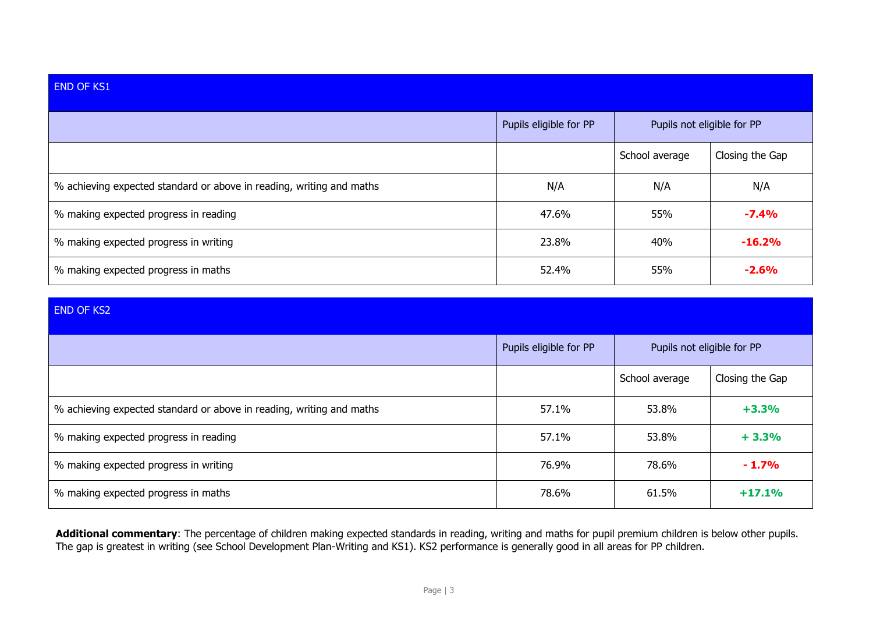| <b>END OF KS1</b>                                                    |                        |                            |                 |
|----------------------------------------------------------------------|------------------------|----------------------------|-----------------|
|                                                                      | Pupils eligible for PP | Pupils not eligible for PP |                 |
|                                                                      |                        | School average             | Closing the Gap |
| % achieving expected standard or above in reading, writing and maths | N/A                    | N/A                        | N/A             |
| % making expected progress in reading                                | 47.6%                  | 55%                        | $-7.4%$         |
| % making expected progress in writing                                | 23.8%                  | 40%                        | $-16.2%$        |
| % making expected progress in maths                                  | 52.4%                  | 55%                        | $-2.6%$         |

### END OF KS2

|                                                                      | Pupils eligible for PP | Pupils not eligible for PP |                 |
|----------------------------------------------------------------------|------------------------|----------------------------|-----------------|
|                                                                      |                        | School average             | Closing the Gap |
| % achieving expected standard or above in reading, writing and maths | 57.1%                  | 53.8%                      | $+3.3%$         |
| % making expected progress in reading                                | 57.1%                  | 53.8%                      | $+3.3%$         |
| % making expected progress in writing                                | 76.9%                  | 78.6%                      | $-1.7%$         |
| % making expected progress in maths                                  | 78.6%                  | 61.5%                      | $+17.1%$        |

**Additional commentary**: The percentage of children making expected standards in reading, writing and maths for pupil premium children is below other pupils. The gap is greatest in writing (see School Development Plan-Writing and KS1). KS2 performance is generally good in all areas for PP children.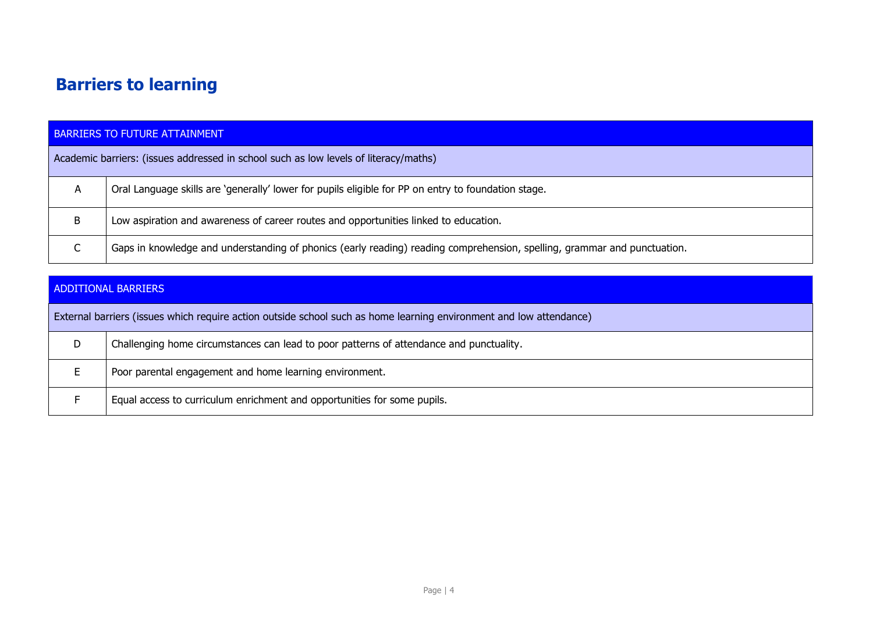# **Barriers to learning**

|   | <b>BARRIERS TO FUTURE ATTAINMENT</b>                                                                                     |  |  |  |  |
|---|--------------------------------------------------------------------------------------------------------------------------|--|--|--|--|
|   | Academic barriers: (issues addressed in school such as low levels of literacy/maths)                                     |  |  |  |  |
| A | Oral Language skills are 'generally' lower for pupils eligible for PP on entry to foundation stage.                      |  |  |  |  |
| B | Low aspiration and awareness of career routes and opportunities linked to education.                                     |  |  |  |  |
| ╰ | Gaps in knowledge and understanding of phonics (early reading) reading comprehension, spelling, grammar and punctuation. |  |  |  |  |

|   | ADDITIONAL BARRIERS                                                                                                 |  |  |  |  |
|---|---------------------------------------------------------------------------------------------------------------------|--|--|--|--|
|   | External barriers (issues which require action outside school such as home learning environment and low attendance) |  |  |  |  |
| D | Challenging home circumstances can lead to poor patterns of attendance and punctuality.                             |  |  |  |  |
|   | Poor parental engagement and home learning environment.                                                             |  |  |  |  |
|   | Equal access to curriculum enrichment and opportunities for some pupils.                                            |  |  |  |  |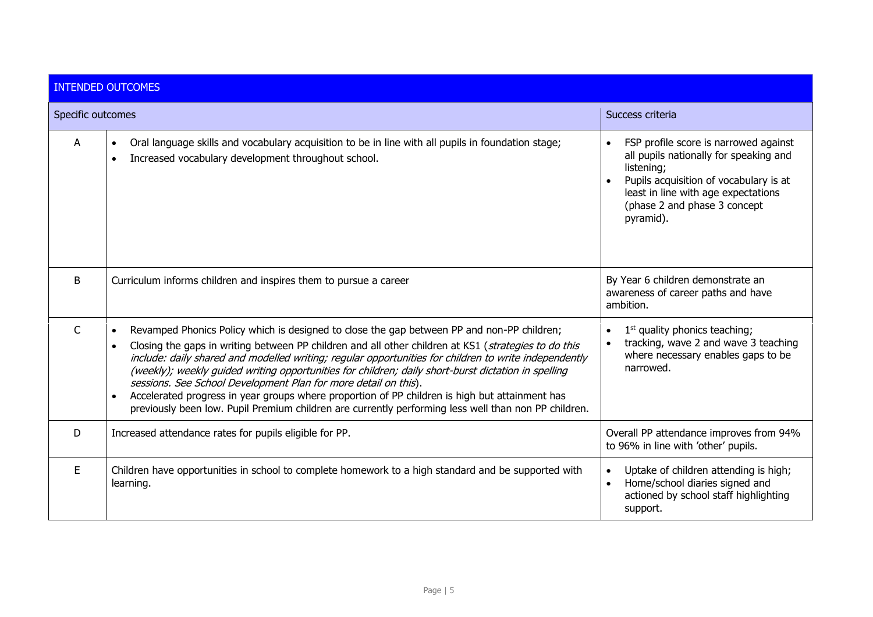|                   | <b>INTENDED OUTCOMES</b>                                                                                                                                                                                                                                                                                                                                                                                                                                                                                                                                                                                                                                                                                                               |                                                                                                                                                                                                                             |
|-------------------|----------------------------------------------------------------------------------------------------------------------------------------------------------------------------------------------------------------------------------------------------------------------------------------------------------------------------------------------------------------------------------------------------------------------------------------------------------------------------------------------------------------------------------------------------------------------------------------------------------------------------------------------------------------------------------------------------------------------------------------|-----------------------------------------------------------------------------------------------------------------------------------------------------------------------------------------------------------------------------|
| Specific outcomes |                                                                                                                                                                                                                                                                                                                                                                                                                                                                                                                                                                                                                                                                                                                                        | Success criteria                                                                                                                                                                                                            |
| A                 | Oral language skills and vocabulary acquisition to be in line with all pupils in foundation stage;<br>$\bullet$<br>Increased vocabulary development throughout school.<br>$\bullet$                                                                                                                                                                                                                                                                                                                                                                                                                                                                                                                                                    | FSP profile score is narrowed against<br>all pupils nationally for speaking and<br>listening;<br>Pupils acquisition of vocabulary is at<br>least in line with age expectations<br>(phase 2 and phase 3 concept<br>pyramid). |
| B                 | Curriculum informs children and inspires them to pursue a career                                                                                                                                                                                                                                                                                                                                                                                                                                                                                                                                                                                                                                                                       | By Year 6 children demonstrate an<br>awareness of career paths and have<br>ambition.                                                                                                                                        |
| $\mathsf{C}$      | Revamped Phonics Policy which is designed to close the gap between PP and non-PP children;<br>$\bullet$<br>Closing the gaps in writing between PP children and all other children at KS1 (strategies to do this<br>$\bullet$<br>include: daily shared and modelled writing; regular opportunities for children to write independently<br>(weekly); weekly guided writing opportunities for children; daily short-burst dictation in spelling<br>sessions. See School Development Plan for more detail on this).<br>Accelerated progress in year groups where proportion of PP children is high but attainment has<br>$\bullet$<br>previously been low. Pupil Premium children are currently performing less well than non PP children. | $1st$ quality phonics teaching;<br>tracking, wave 2 and wave 3 teaching<br>where necessary enables gaps to be<br>narrowed.                                                                                                  |
| D                 | Increased attendance rates for pupils eligible for PP.                                                                                                                                                                                                                                                                                                                                                                                                                                                                                                                                                                                                                                                                                 | Overall PP attendance improves from 94%<br>to 96% in line with 'other' pupils.                                                                                                                                              |
| E.                | Children have opportunities in school to complete homework to a high standard and be supported with<br>learning.                                                                                                                                                                                                                                                                                                                                                                                                                                                                                                                                                                                                                       | Uptake of children attending is high;<br>Home/school diaries signed and<br>actioned by school staff highlighting<br>support.                                                                                                |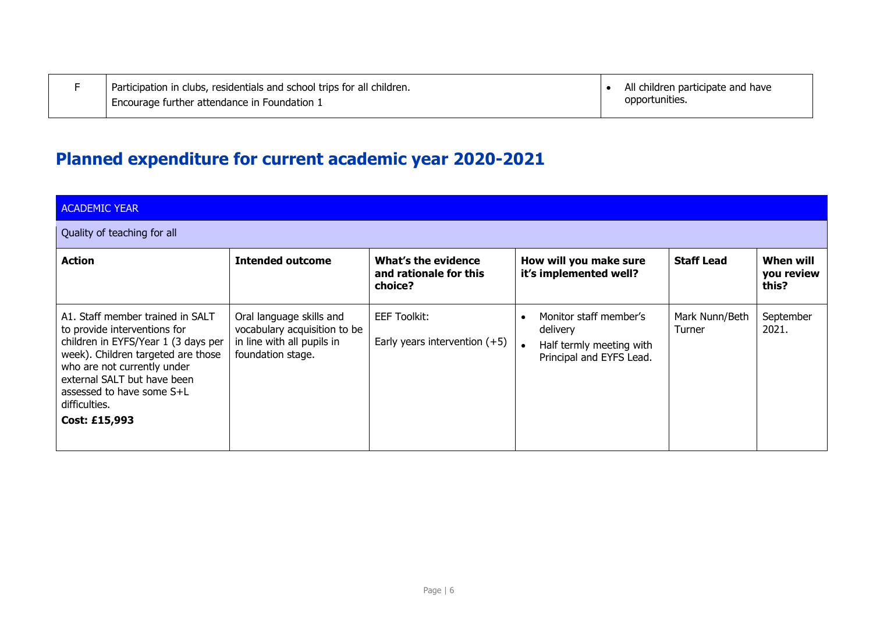| Participation in clubs, residentials and school trips for all children. | All children participate and have |
|-------------------------------------------------------------------------|-----------------------------------|
| Encourage further attendance in Foundation 1                            | opportunities.                    |

## **Planned expenditure for current academic year 2020-2021**

| <b>ACADEMIC YEAR</b>                                                                                                                                                                                                                                                       |                                                                                                             |                                                          |                                                                                            |                          |                                  |  |  |  |
|----------------------------------------------------------------------------------------------------------------------------------------------------------------------------------------------------------------------------------------------------------------------------|-------------------------------------------------------------------------------------------------------------|----------------------------------------------------------|--------------------------------------------------------------------------------------------|--------------------------|----------------------------------|--|--|--|
| Quality of teaching for all                                                                                                                                                                                                                                                |                                                                                                             |                                                          |                                                                                            |                          |                                  |  |  |  |
| <b>Action</b>                                                                                                                                                                                                                                                              | <b>Intended outcome</b>                                                                                     | What's the evidence<br>and rationale for this<br>choice? | How will you make sure<br>it's implemented well?                                           | <b>Staff Lead</b>        | When will<br>you review<br>this? |  |  |  |
| A1. Staff member trained in SALT<br>to provide interventions for<br>children in EYFS/Year 1 (3 days per<br>week). Children targeted are those<br>who are not currently under<br>external SALT but have been<br>assessed to have some S+L<br>difficulties.<br>Cost: £15,993 | Oral language skills and<br>vocabulary acquisition to be<br>in line with all pupils in<br>foundation stage. | <b>EEF Toolkit:</b><br>Early years intervention $(+5)$   | Monitor staff member's<br>delivery<br>Half termly meeting with<br>Principal and EYFS Lead. | Mark Nunn/Beth<br>Turner | September<br>2021.               |  |  |  |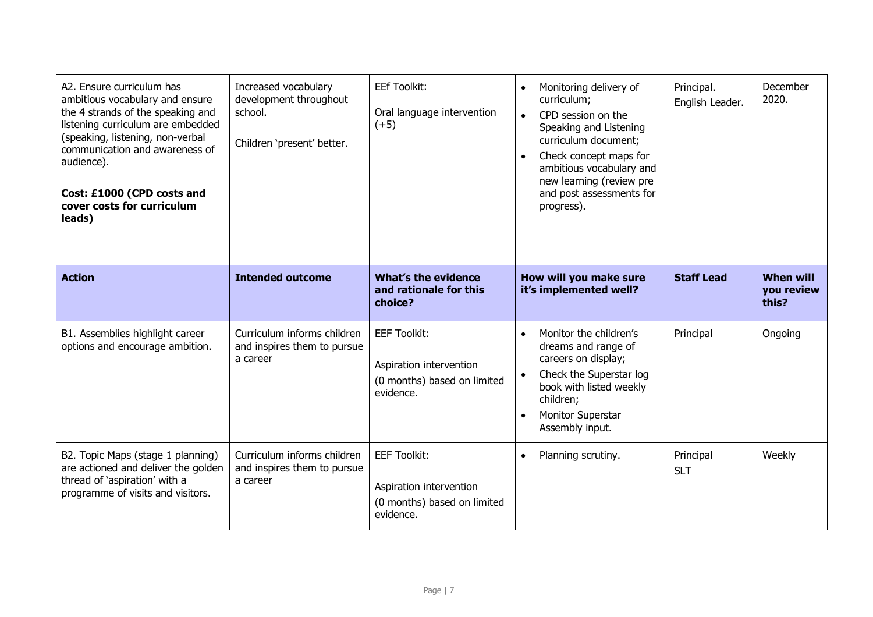| A2. Ensure curriculum has<br>ambitious vocabulary and ensure<br>the 4 strands of the speaking and<br>listening curriculum are embedded<br>(speaking, listening, non-verbal<br>communication and awareness of<br>audience).<br>Cost: £1000 (CPD costs and<br>cover costs for curriculum<br>leads) | Increased vocabulary<br>development throughout<br>school.<br>Children 'present' better. | <b>EEf Toolkit:</b><br>Oral language intervention<br>$(+5)$                                | Monitoring delivery of<br>$\bullet$<br>curriculum;<br>CPD session on the<br>$\bullet$<br>Speaking and Listening<br>curriculum document;<br>Check concept maps for<br>ambitious vocabulary and<br>new learning (review pre<br>and post assessments for<br>progress). | Principal.<br>English Leader. | December<br>2020.                       |
|--------------------------------------------------------------------------------------------------------------------------------------------------------------------------------------------------------------------------------------------------------------------------------------------------|-----------------------------------------------------------------------------------------|--------------------------------------------------------------------------------------------|---------------------------------------------------------------------------------------------------------------------------------------------------------------------------------------------------------------------------------------------------------------------|-------------------------------|-----------------------------------------|
| <b>Action</b>                                                                                                                                                                                                                                                                                    | <b>Intended outcome</b>                                                                 | <b>What's the evidence</b><br>and rationale for this<br>choice?                            | How will you make sure<br>it's implemented well?                                                                                                                                                                                                                    | <b>Staff Lead</b>             | <b>When will</b><br>you review<br>this? |
| B1. Assemblies highlight career<br>options and encourage ambition.                                                                                                                                                                                                                               | Curriculum informs children<br>and inspires them to pursue<br>a career                  | <b>EEF Toolkit:</b><br>Aspiration intervention<br>(0 months) based on limited<br>evidence. | Monitor the children's<br>$\bullet$<br>dreams and range of<br>careers on display;<br>Check the Superstar log<br>$\bullet$<br>book with listed weekly<br>children;<br><b>Monitor Superstar</b><br>Assembly input.                                                    | Principal                     | Ongoing                                 |
| B2. Topic Maps (stage 1 planning)<br>are actioned and deliver the golden<br>thread of 'aspiration' with a<br>programme of visits and visitors.                                                                                                                                                   | Curriculum informs children<br>and inspires them to pursue<br>a career                  | <b>EEF Toolkit:</b><br>Aspiration intervention<br>(0 months) based on limited<br>evidence. | Planning scrutiny.<br>$\bullet$                                                                                                                                                                                                                                     | Principal<br><b>SLT</b>       | Weekly                                  |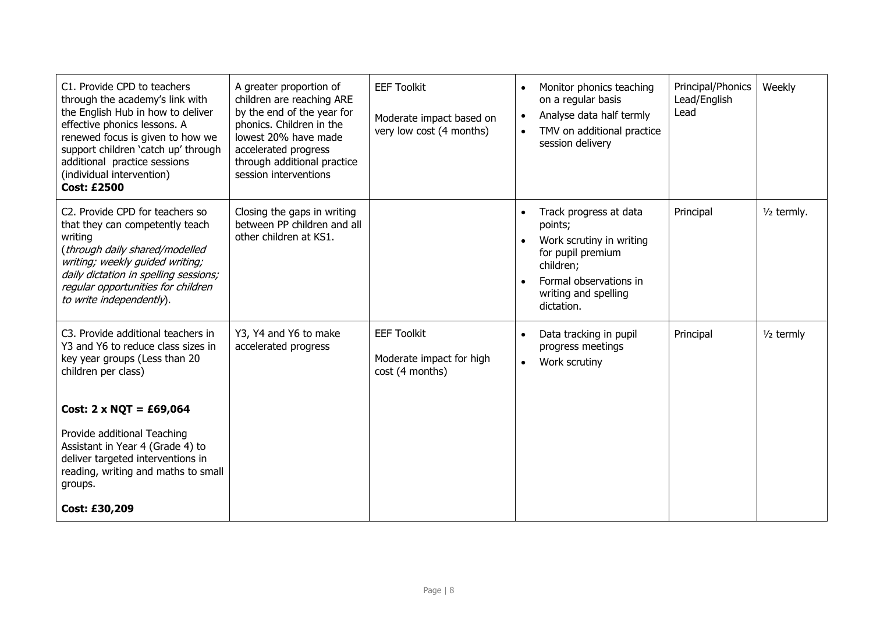| C1. Provide CPD to teachers<br>through the academy's link with<br>the English Hub in how to deliver<br>effective phonics lessons. A<br>renewed focus is given to how we<br>support children 'catch up' through<br>additional practice sessions<br>(individual intervention)<br><b>Cost: £2500</b> | A greater proportion of<br>children are reaching ARE<br>by the end of the year for<br>phonics. Children in the<br>lowest 20% have made<br>accelerated progress<br>through additional practice<br>session interventions | <b>EEF Toolkit</b><br>Moderate impact based on<br>very low cost (4 months) | Monitor phonics teaching<br>on a regular basis<br>Analyse data half termly<br>TMV on additional practice<br>session delivery                                    | Principal/Phonics<br>Lead/English<br>Lead | Weekly        |
|---------------------------------------------------------------------------------------------------------------------------------------------------------------------------------------------------------------------------------------------------------------------------------------------------|------------------------------------------------------------------------------------------------------------------------------------------------------------------------------------------------------------------------|----------------------------------------------------------------------------|-----------------------------------------------------------------------------------------------------------------------------------------------------------------|-------------------------------------------|---------------|
| C2. Provide CPD for teachers so<br>that they can competently teach<br>writing<br>(through daily shared/modelled<br>writing; weekly guided writing;<br>daily dictation in spelling sessions;<br>regular opportunities for children<br>to write independently).                                     | Closing the gaps in writing<br>between PP children and all<br>other children at KS1.                                                                                                                                   |                                                                            | Track progress at data<br>points;<br>Work scrutiny in writing<br>for pupil premium<br>children;<br>Formal observations in<br>writing and spelling<br>dictation. | Principal                                 | $1/2$ termly. |
| C3. Provide additional teachers in<br>Y3 and Y6 to reduce class sizes in<br>key year groups (Less than 20<br>children per class)                                                                                                                                                                  | Y3, Y4 and Y6 to make<br>accelerated progress                                                                                                                                                                          | <b>EEF Toolkit</b><br>Moderate impact for high<br>cost (4 months)          | Data tracking in pupil<br>progress meetings<br>Work scrutiny                                                                                                    | Principal                                 | $1/2$ termly  |
| Cost: $2 \times NQT = \text{\pounds}69,064$                                                                                                                                                                                                                                                       |                                                                                                                                                                                                                        |                                                                            |                                                                                                                                                                 |                                           |               |
| Provide additional Teaching<br>Assistant in Year 4 (Grade 4) to<br>deliver targeted interventions in<br>reading, writing and maths to small<br>groups.                                                                                                                                            |                                                                                                                                                                                                                        |                                                                            |                                                                                                                                                                 |                                           |               |
| Cost: £30,209                                                                                                                                                                                                                                                                                     |                                                                                                                                                                                                                        |                                                                            |                                                                                                                                                                 |                                           |               |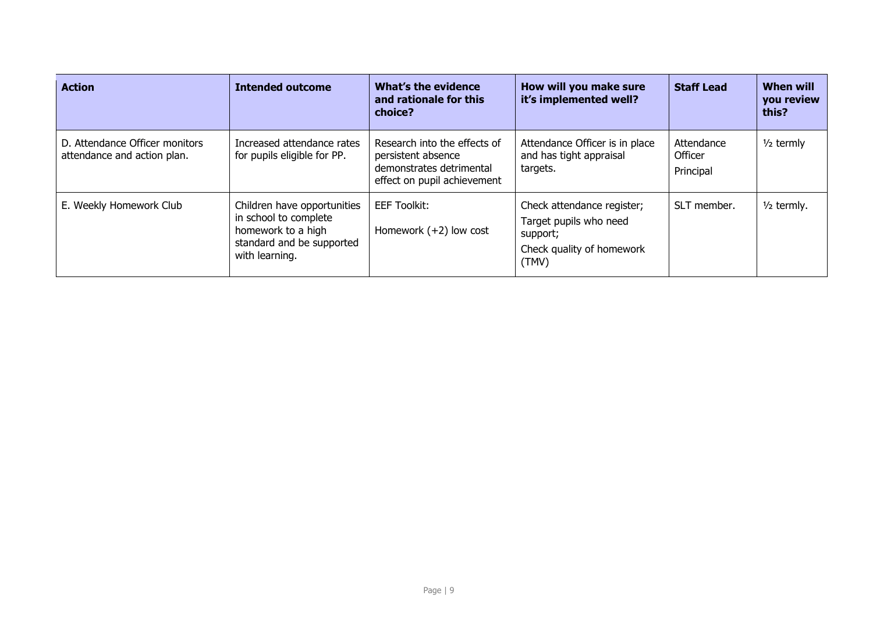| <b>Action</b>                                                 | <b>Intended outcome</b>                                                                                                   | What's the evidence<br>and rationale for this<br>choice?                                                      | How will you make sure<br>it's implemented well?                                                       | <b>Staff Lead</b>                  | <b>When will</b><br>you review<br>this? |
|---------------------------------------------------------------|---------------------------------------------------------------------------------------------------------------------------|---------------------------------------------------------------------------------------------------------------|--------------------------------------------------------------------------------------------------------|------------------------------------|-----------------------------------------|
| D. Attendance Officer monitors<br>attendance and action plan. | Increased attendance rates<br>for pupils eligible for PP.                                                                 | Research into the effects of<br>persistent absence<br>demonstrates detrimental<br>effect on pupil achievement | Attendance Officer is in place<br>and has tight appraisal<br>targets.                                  | Attendance<br>Officer<br>Principal | $1/2$ termly                            |
| E. Weekly Homework Club                                       | Children have opportunities<br>in school to complete<br>homework to a high<br>standard and be supported<br>with learning. | <b>EEF Toolkit:</b><br>Homework $(+2)$ low cost                                                               | Check attendance register;<br>Target pupils who need<br>support;<br>Check quality of homework<br>(TMV) | SLT member.                        | $1/2$ termly.                           |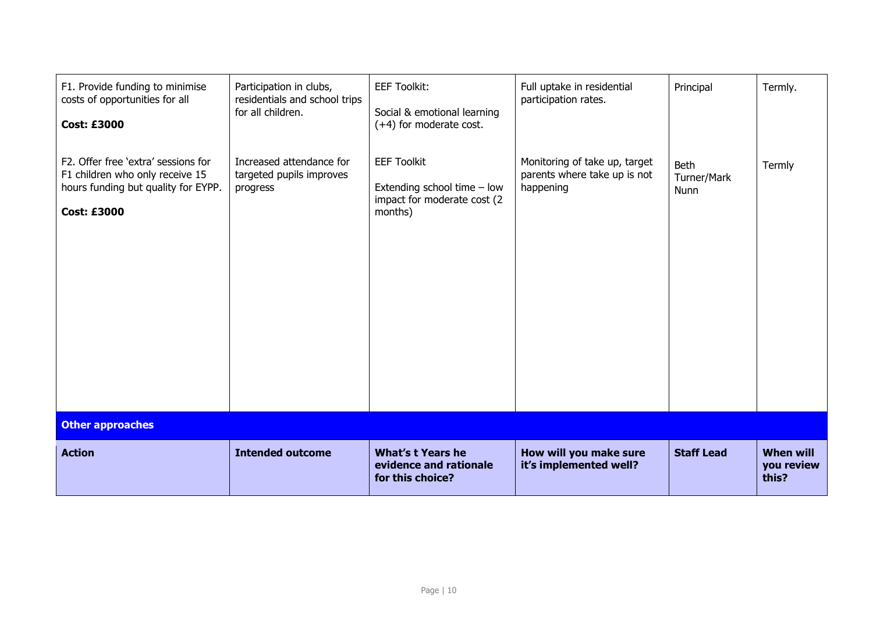| F1. Provide funding to minimise<br>costs of opportunities for all<br><b>Cost: £3000</b>                                             | Participation in clubs,<br>residentials and school trips<br>for all children. | <b>EEF Toolkit:</b><br>Social & emotional learning<br>$(+4)$ for moderate cost.             | Full uptake in residential<br>participation rates.                         | Principal                          | Termly.                                 |
|-------------------------------------------------------------------------------------------------------------------------------------|-------------------------------------------------------------------------------|---------------------------------------------------------------------------------------------|----------------------------------------------------------------------------|------------------------------------|-----------------------------------------|
| F2. Offer free 'extra' sessions for<br>F1 children who only receive 15<br>hours funding but quality for EYPP.<br><b>Cost: £3000</b> | Increased attendance for<br>targeted pupils improves<br>progress              | <b>EEF Toolkit</b><br>Extending school time - low<br>impact for moderate cost (2<br>months) | Monitoring of take up, target<br>parents where take up is not<br>happening | <b>Beth</b><br>Turner/Mark<br>Nunn | Termly                                  |
| <b>Other approaches</b>                                                                                                             |                                                                               |                                                                                             |                                                                            |                                    |                                         |
| <b>Action</b>                                                                                                                       | <b>Intended outcome</b>                                                       | <b>What's t Years he</b><br>evidence and rationale<br>for this choice?                      | How will you make sure<br>it's implemented well?                           | <b>Staff Lead</b>                  | <b>When will</b><br>you review<br>this? |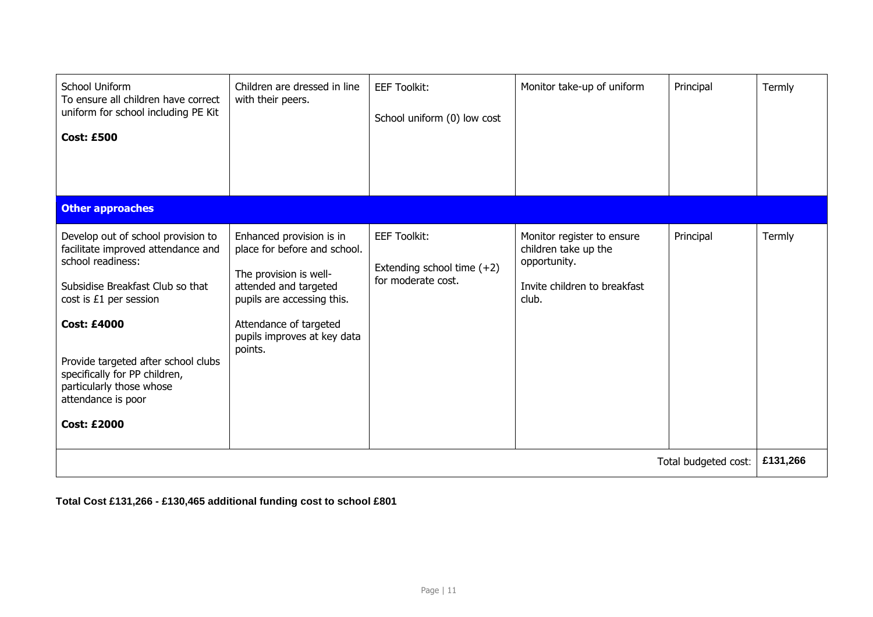| School Uniform<br>To ensure all children have correct<br>uniform for school including PE Kit<br><b>Cost: £500</b>                                                                                                                                                                                                                 | Children are dressed in line<br>with their peers.                                                                                                                                                             | <b>EEF Toolkit:</b><br>School uniform (0) low cost                      | Monitor take-up of uniform                                                                                  | Principal | Termly |
|-----------------------------------------------------------------------------------------------------------------------------------------------------------------------------------------------------------------------------------------------------------------------------------------------------------------------------------|---------------------------------------------------------------------------------------------------------------------------------------------------------------------------------------------------------------|-------------------------------------------------------------------------|-------------------------------------------------------------------------------------------------------------|-----------|--------|
| <b>Other approaches</b>                                                                                                                                                                                                                                                                                                           |                                                                                                                                                                                                               |                                                                         |                                                                                                             |           |        |
| Develop out of school provision to<br>facilitate improved attendance and<br>school readiness:<br>Subsidise Breakfast Club so that<br>cost is £1 per session<br><b>Cost: £4000</b><br>Provide targeted after school clubs<br>specifically for PP children,<br>particularly those whose<br>attendance is poor<br><b>Cost: £2000</b> | Enhanced provision is in<br>place for before and school.<br>The provision is well-<br>attended and targeted<br>pupils are accessing this.<br>Attendance of targeted<br>pupils improves at key data<br>points. | <b>EEF Toolkit:</b><br>Extending school time (+2)<br>for moderate cost. | Monitor register to ensure<br>children take up the<br>opportunity.<br>Invite children to breakfast<br>club. | Principal | Termly |
| Total budgeted cost:                                                                                                                                                                                                                                                                                                              |                                                                                                                                                                                                               |                                                                         |                                                                                                             | £131,266  |        |

**Total Cost £131,266 - £130,465 additional funding cost to school £801**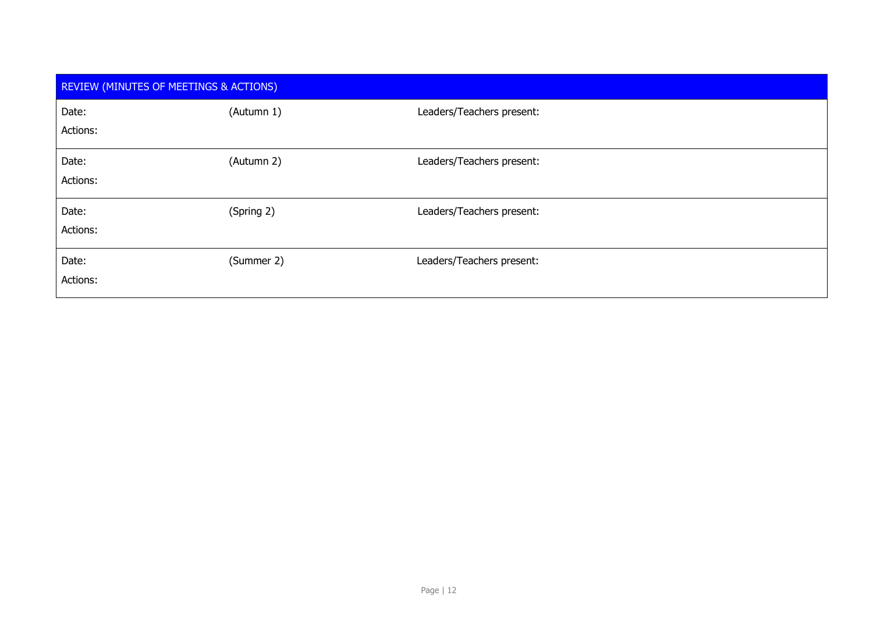| <b>REVIEW (MINUTES OF MEETINGS &amp; ACTIONS)</b> |            |                           |  |  |
|---------------------------------------------------|------------|---------------------------|--|--|
| Date:<br>Actions:                                 | (Autumn 1) | Leaders/Teachers present: |  |  |
| Date:<br>Actions:                                 | (Autumn 2) | Leaders/Teachers present: |  |  |
| Date:<br>Actions:                                 | (Spring 2) | Leaders/Teachers present: |  |  |
| Date:<br>Actions:                                 | (Summer 2) | Leaders/Teachers present: |  |  |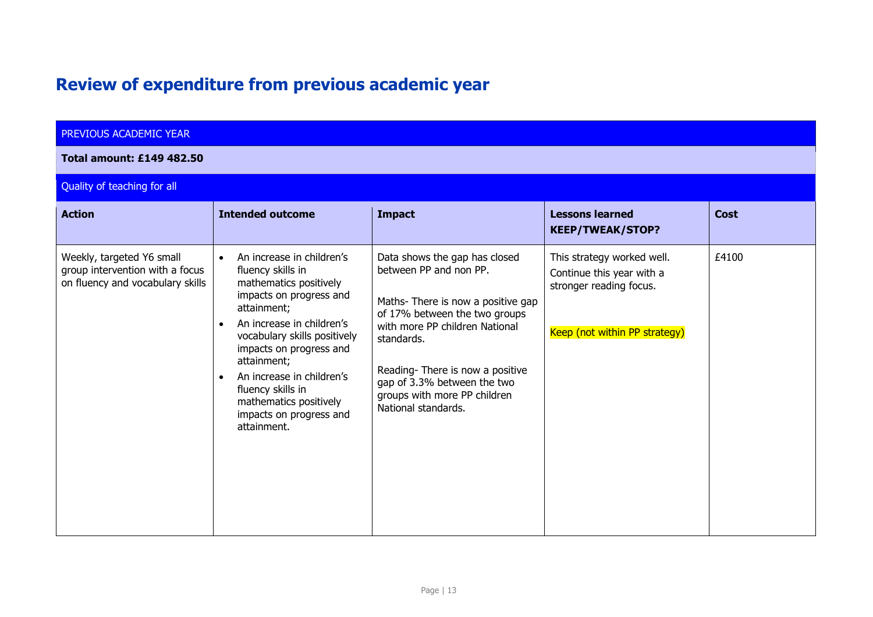## **Review of expenditure from previous academic year**

### PREVIOUS ACADEMIC YEAR

#### **Total amount: £149 482.50**

### Quality of teaching for all

| <b>Action</b>                                                                                    | <b>Intended outcome</b>                                                                                                                                                                                                                                                                                                                                                   | <b>Impact</b>                                                                                                                                                                                                                                                                                          | <b>Lessons learned</b><br><b>KEEP/TWEAK/STOP?</b>                                                                   | <b>Cost</b> |
|--------------------------------------------------------------------------------------------------|---------------------------------------------------------------------------------------------------------------------------------------------------------------------------------------------------------------------------------------------------------------------------------------------------------------------------------------------------------------------------|--------------------------------------------------------------------------------------------------------------------------------------------------------------------------------------------------------------------------------------------------------------------------------------------------------|---------------------------------------------------------------------------------------------------------------------|-------------|
| Weekly, targeted Y6 small<br>group intervention with a focus<br>on fluency and vocabulary skills | An increase in children's<br>$\bullet$<br>fluency skills in<br>mathematics positively<br>impacts on progress and<br>attainment;<br>An increase in children's<br>vocabulary skills positively<br>impacts on progress and<br>attainment;<br>An increase in children's<br>$\bullet$<br>fluency skills in<br>mathematics positively<br>impacts on progress and<br>attainment. | Data shows the gap has closed<br>between PP and non PP.<br>Maths-There is now a positive gap<br>of 17% between the two groups<br>with more PP children National<br>standards.<br>Reading-There is now a positive<br>gap of 3.3% between the two<br>groups with more PP children<br>National standards. | This strategy worked well.<br>Continue this year with a<br>stronger reading focus.<br>Keep (not within PP strategy) | £4100       |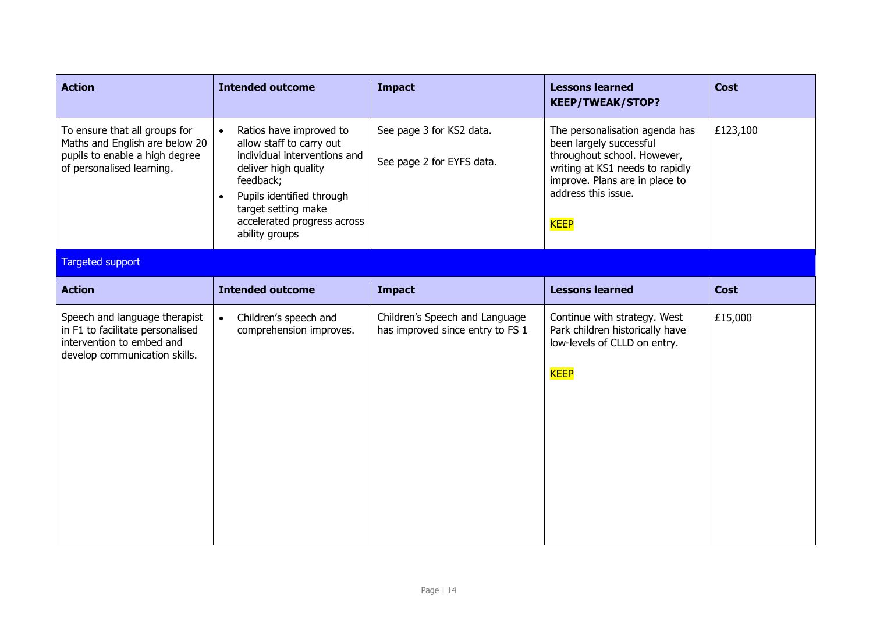| <b>Action</b>                                                                                                                   | <b>Intended outcome</b>                                                                                                                                                                                                                                 | <b>Impact</b>                                                      | <b>Lessons learned</b><br><b>KEEP/TWEAK/STOP?</b>                                                                                                                                                   | <b>Cost</b> |
|---------------------------------------------------------------------------------------------------------------------------------|---------------------------------------------------------------------------------------------------------------------------------------------------------------------------------------------------------------------------------------------------------|--------------------------------------------------------------------|-----------------------------------------------------------------------------------------------------------------------------------------------------------------------------------------------------|-------------|
| To ensure that all groups for<br>Maths and English are below 20<br>pupils to enable a high degree<br>of personalised learning.  | Ratios have improved to<br>$\bullet$<br>allow staff to carry out<br>individual interventions and<br>deliver high quality<br>feedback;<br>Pupils identified through<br>$\bullet$<br>target setting make<br>accelerated progress across<br>ability groups | See page 3 for KS2 data.<br>See page 2 for EYFS data.              | The personalisation agenda has<br>been largely successful<br>throughout school. However,<br>writing at KS1 needs to rapidly<br>improve. Plans are in place to<br>address this issue.<br><b>KEEP</b> | £123,100    |
| Targeted support                                                                                                                |                                                                                                                                                                                                                                                         |                                                                    |                                                                                                                                                                                                     |             |
| <b>Action</b>                                                                                                                   | <b>Intended outcome</b>                                                                                                                                                                                                                                 | <b>Impact</b>                                                      | <b>Lessons learned</b>                                                                                                                                                                              | <b>Cost</b> |
| Speech and language therapist<br>in F1 to facilitate personalised<br>intervention to embed and<br>develop communication skills. | Children's speech and<br>$\bullet$<br>comprehension improves.                                                                                                                                                                                           | Children's Speech and Language<br>has improved since entry to FS 1 | Continue with strategy. West<br>Park children historically have<br>low-levels of CLLD on entry.<br><b>KEEP</b>                                                                                      | £15,000     |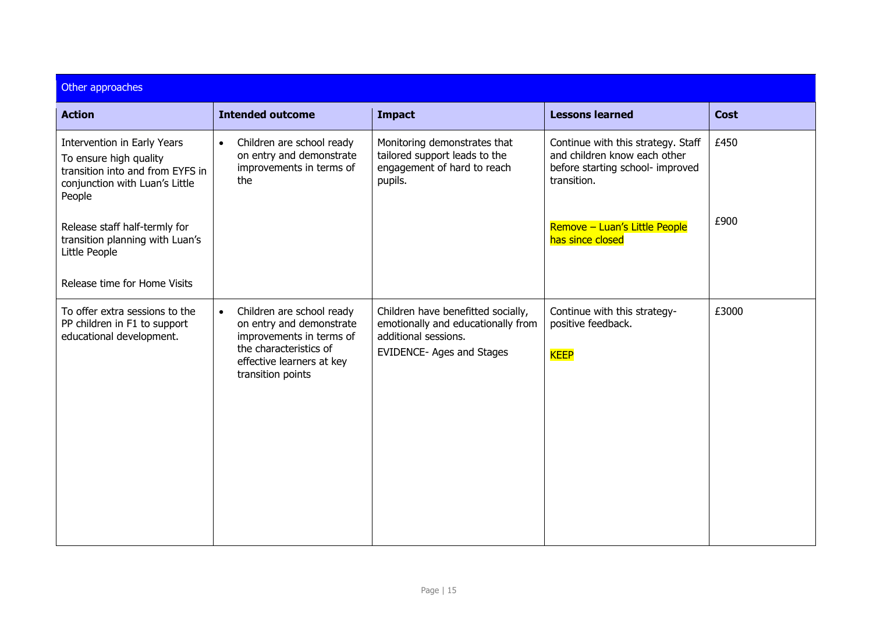| Other approaches                                                                                                                      |                                                                                                                                                                            |                                                                                                                               |                                                                                                                       |             |  |  |
|---------------------------------------------------------------------------------------------------------------------------------------|----------------------------------------------------------------------------------------------------------------------------------------------------------------------------|-------------------------------------------------------------------------------------------------------------------------------|-----------------------------------------------------------------------------------------------------------------------|-------------|--|--|
| <b>Action</b>                                                                                                                         | <b>Intended outcome</b>                                                                                                                                                    | <b>Impact</b>                                                                                                                 | <b>Lessons learned</b>                                                                                                | <b>Cost</b> |  |  |
| Intervention in Early Years<br>To ensure high quality<br>transition into and from EYFS in<br>conjunction with Luan's Little<br>People | Children are school ready<br>$\bullet$<br>on entry and demonstrate<br>improvements in terms of<br>the                                                                      | Monitoring demonstrates that<br>tailored support leads to the<br>engagement of hard to reach<br>pupils.                       | Continue with this strategy. Staff<br>and children know each other<br>before starting school- improved<br>transition. | £450        |  |  |
| Release staff half-termly for<br>transition planning with Luan's<br>Little People                                                     |                                                                                                                                                                            |                                                                                                                               | Remove - Luan's Little People<br>has since closed                                                                     | £900        |  |  |
| Release time for Home Visits                                                                                                          |                                                                                                                                                                            |                                                                                                                               |                                                                                                                       |             |  |  |
| To offer extra sessions to the<br>PP children in F1 to support<br>educational development.                                            | Children are school ready<br>$\bullet$<br>on entry and demonstrate<br>improvements in terms of<br>the characteristics of<br>effective learners at key<br>transition points | Children have benefitted socially,<br>emotionally and educationally from<br>additional sessions.<br>EVIDENCE- Ages and Stages | Continue with this strategy-<br>positive feedback.<br><b>KEEP</b>                                                     | £3000       |  |  |